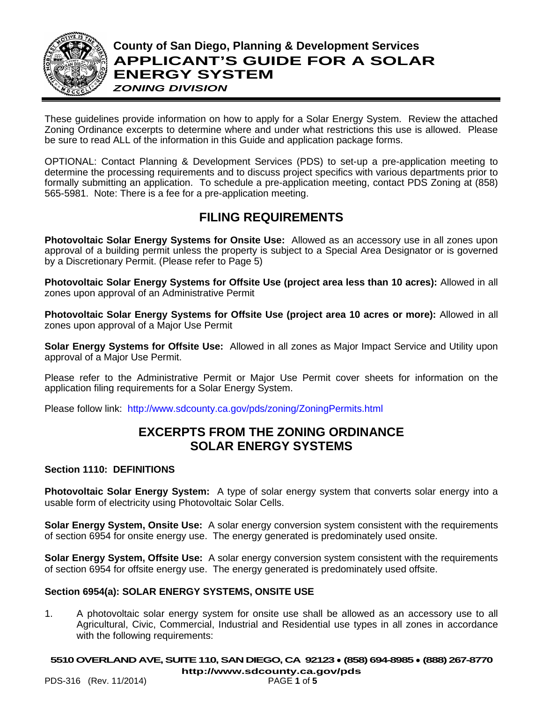

These guidelines provide information on how to apply for a Solar Energy System. Review the attached Zoning Ordinance excerpts to determine where and under what restrictions this use is allowed. Please be sure to read ALL of the information in this Guide and application package forms.

OPTIONAL: Contact Planning & Development Services (PDS) to set-up a pre-application meeting to determine the processing requirements and to discuss project specifics with various departments prior to formally submitting an application. To schedule a pre-application meeting, contact PDS Zoning at (858) 565-5981. Note: There is a fee for a pre-application meeting.

# **FILING REQUIREMENTS**

**Photovoltaic Solar Energy Systems for Onsite Use:** Allowed as an accessory use in all zones upon approval of a building permit unless the property is subject to a Special Area Designator or is governed by a Discretionary Permit. (Please refer to Page 5)

**Photovoltaic Solar Energy Systems for Offsite Use (project area less than 10 acres):** Allowed in all zones upon approval of an Administrative Permit

**Photovoltaic Solar Energy Systems for Offsite Use (project area 10 acres or more):** Allowed in all zones upon approval of a Major Use Permit

**Solar Energy Systems for Offsite Use:** Allowed in all zones as Major Impact Service and Utility upon approval of a Major Use Permit.

Please refer to the Administrative Permit or Major Use Permit cover sheets for information on the application filing requirements for a Solar Energy System.

Please follow link: <http://www.sdcounty.ca.gov/pds/zoning/ZoningPermits.html>

# **EXCERPTS FROM THE ZONING ORDINANCE SOLAR ENERGY SYSTEMS**

# **Section 1110: DEFINITIONS**

**Photovoltaic Solar Energy System:** A type of solar energy system that converts solar energy into a usable form of electricity using Photovoltaic Solar Cells.

**Solar Energy System, Onsite Use:** A solar energy conversion system consistent with the requirements of section 6954 for onsite energy use. The energy generated is predominately used onsite.

**Solar Energy System, Offsite Use:** A solar energy conversion system consistent with the requirements of section 6954 for offsite energy use. The energy generated is predominately used offsite.

## **Section 6954(a): SOLAR ENERGY SYSTEMS, ONSITE USE**

1. A photovoltaic solar energy system for onsite use shall be allowed as an accessory use to all Agricultural, Civic, Commercial, Industrial and Residential use types in all zones in accordance with the following requirements:

**5510OVERLAND AVE, SUITE 110, SAN DIEGO, CA 92123** ● **(858) 694-8985** ● **(888) 267-8770**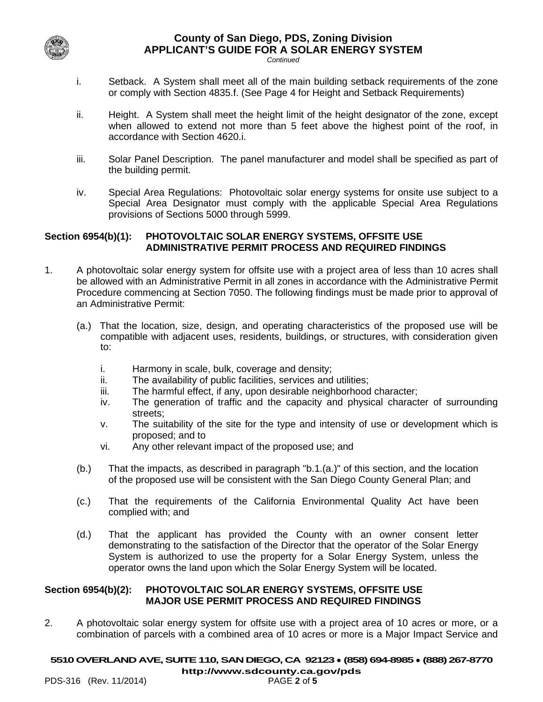

#### **County of San Diego, PDS, Zoning Division APPLICANT'S GUIDE FOR A SOLAR ENERGY SYSTEM** *Continued*

- i. Setback. A System shall meet all of the main building setback requirements of the zone or comply with Section 4835.f. (See Page 4 for Height and Setback Requirements)
- ii. Height. A System shall meet the height limit of the height designator of the zone, except when allowed to extend not more than 5 feet above the highest point of the roof, in accordance with Section 4620.i.
- iii. Solar Panel Description. The panel manufacturer and model shall be specified as part of the building permit.
- iv. Special Area Regulations: Photovoltaic solar energy systems for onsite use subject to a Special Area Designator must comply with the applicable Special Area Regulations provisions of Sections 5000 through 5999.

# **Section 6954(b)(1): PHOTOVOLTAIC SOLAR ENERGY SYSTEMS, OFFSITE USE ADMINISTRATIVE PERMIT PROCESS AND REQUIRED FINDINGS**

- 1. A photovoltaic solar energy system for offsite use with a project area of less than 10 acres shall be allowed with an Administrative Permit in all zones in accordance with the Administrative Permit Procedure commencing at Section 7050. The following findings must be made prior to approval of an Administrative Permit:
	- (a.) That the location, size, design, and operating characteristics of the proposed use will be compatible with adjacent uses, residents, buildings, or structures, with consideration given to:
		- i. Harmony in scale, bulk, coverage and density;
		- ii. The availability of public facilities, services and utilities;
		- iii. The harmful effect, if any, upon desirable neighborhood character;
		- iv. The generation of traffic and the capacity and physical character of surrounding streets;
		- v. The suitability of the site for the type and intensity of use or development which is proposed; and to
		- vi. Any other relevant impact of the proposed use; and
	- (b.) That the impacts, as described in paragraph "b.1.(a.)" of this section, and the location of the proposed use will be consistent with the San Diego County General Plan; and
	- (c.) That the requirements of the California Environmental Quality Act have been complied with; and
	- (d.) That the applicant has provided the County with an owner consent letter demonstrating to the satisfaction of the Director that the operator of the Solar Energy System is authorized to use the property for a Solar Energy System, unless the operator owns the land upon which the Solar Energy System will be located.

## **Section 6954(b)(2): PHOTOVOLTAIC SOLAR ENERGY SYSTEMS, OFFSITE USE MAJOR USE PERMIT PROCESS AND REQUIRED FINDINGS**

2. A photovoltaic solar energy system for offsite use with a project area of 10 acres or more, or a combination of parcels with a combined area of 10 acres or more is a Major Impact Service and

## **5510OVERLAND AVE, SUITE 110,SAN DIEGO, CA 92123** ● **(858) 694-8985** ● **(888) 267-8770**

PDS-316 (Rev. 11/2014)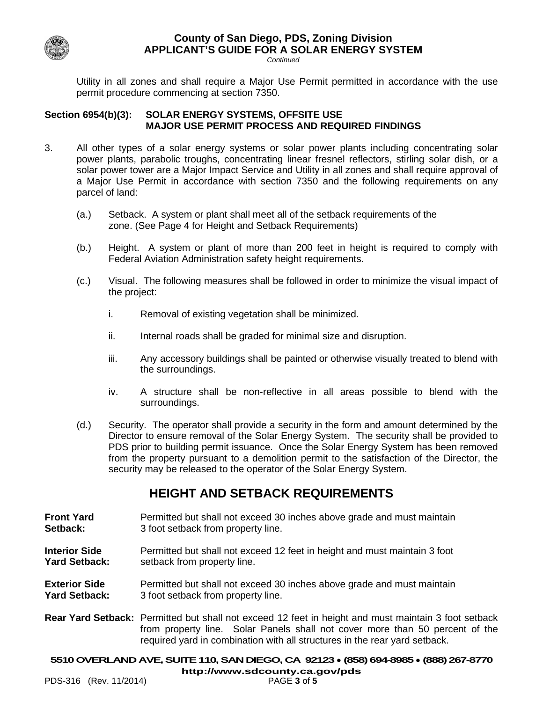

#### **County of San Diego, PDS, Zoning Division APPLICANT'S GUIDE FOR A SOLAR ENERGY SYSTEM** *Continued*

Utility in all zones and shall require a Major Use Permit permitted in accordance with the use permit procedure commencing at section 7350.

## **Section 6954(b)(3): SOLAR ENERGY SYSTEMS, OFFSITE USE MAJOR USE PERMIT PROCESS AND REQUIRED FINDINGS**

- 3. All other types of a solar energy systems or solar power plants including concentrating solar power plants, parabolic troughs, concentrating linear fresnel reflectors, stirling solar dish, or a solar power tower are a Major Impact Service and Utility in all zones and shall require approval of a Major Use Permit in accordance with section 7350 and the following requirements on any parcel of land:
	- (a.) Setback. A system or plant shall meet all of the setback requirements of the zone. (See Page 4 for Height and Setback Requirements)
	- (b.) Height. A system or plant of more than 200 feet in height is required to comply with Federal Aviation Administration safety height requirements.
	- (c.) Visual. The following measures shall be followed in order to minimize the visual impact of the project:
		- i. Removal of existing vegetation shall be minimized.
		- ii. Internal roads shall be graded for minimal size and disruption.
		- iii. Any accessory buildings shall be painted or otherwise visually treated to blend with the surroundings.
		- iv. A structure shall be non-reflective in all areas possible to blend with the surroundings.
	- (d.) Security. The operator shall provide a security in the form and amount determined by the Director to ensure removal of the Solar Energy System. The security shall be provided to PDS prior to building permit issuance. Once the Solar Energy System has been removed from the property pursuant to a demolition permit to the satisfaction of the Director, the security may be released to the operator of the Solar Energy System.

# **HEIGHT AND SETBACK REQUIREMENTS**

- **Front Yard** Permitted but shall not exceed 30 inches above grade and must maintain<br> **Setback:** 3 foot setback from property line. **Setback:** 3 foot setback from property line.
- **Interior Side** Permitted but shall not exceed 12 feet in height and must maintain 3 foot<br>
Yard Setback: setback from property line. setback from property line.
- **Exterior Side** Permitted but shall not exceed 30 inches above grade and must maintain **Yard Setback:** 3 foot setback from property line.
- **Rear Yard Setback:** Permitted but shall not exceed 12 feet in height and must maintain 3 foot setback from property line. Solar Panels shall not cover more than 50 percent of the required yard in combination with all structures in the rear yard setback.

**5510OVERLAND AVE, SUITE 110,SAN DIEGO, CA 92123** ● **(858) 694-8985** ● **(888) 267-8770**

PDS-316 (Rev. 11/2014)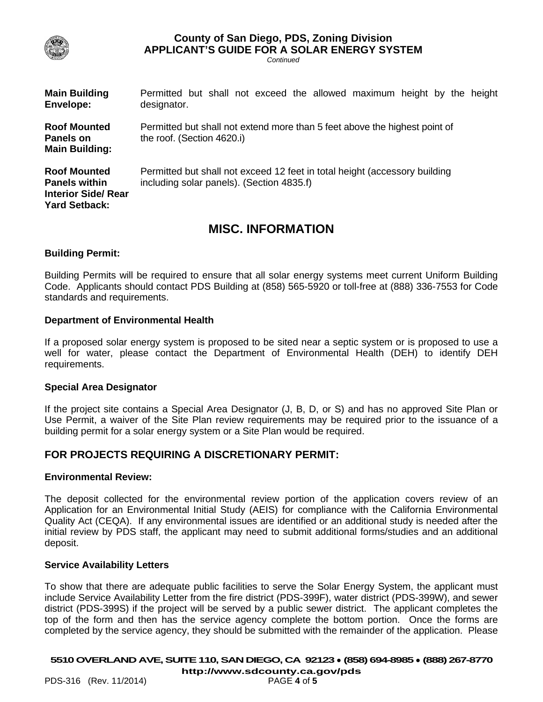

# **County of San Diego, PDS, Zoning Division APPLICANT'S GUIDE FOR A SOLAR ENERGY SYSTEM**

*Continued*

| <b>Main Building</b><br><b>Envelope:</b>                                                          | Permitted but shall not exceed the allowed maximum height by the height<br>designator.                                  |
|---------------------------------------------------------------------------------------------------|-------------------------------------------------------------------------------------------------------------------------|
| <b>Roof Mounted</b><br>Panels on<br><b>Main Building:</b>                                         | Permitted but shall not extend more than 5 feet above the highest point of<br>the roof. (Section 4620.i)                |
| <b>Roof Mounted</b><br><b>Panels within</b><br><b>Interior Side/ Rear</b><br><b>Yard Setback:</b> | Permitted but shall not exceed 12 feet in total height (accessory building<br>including solar panels). (Section 4835.f) |

# **MISC. INFORMATION**

### **Building Permit:**

Building Permits will be required to ensure that all solar energy systems meet current Uniform Building Code. Applicants should contact PDS Building at (858) 565-5920 or toll-free at (888) 336-7553 for Code standards and requirements.

### **Department of Environmental Health**

If a proposed solar energy system is proposed to be sited near a septic system or is proposed to use a well for water, please contact the Department of Environmental Health (DEH) to identify DEH requirements.

#### **Special Area Designator**

If the project site contains a Special Area Designator (J, B, D, or S) and has no approved Site Plan or Use Permit, a waiver of the Site Plan review requirements may be required prior to the issuance of a building permit for a solar energy system or a Site Plan would be required.

## **FOR PROJECTS REQUIRING A DISCRETIONARY PERMIT:**

#### **Environmental Review:**

The deposit collected for the environmental review portion of the application covers review of an Application for an Environmental Initial Study (AEIS) for compliance with the California Environmental Quality Act (CEQA). If any environmental issues are identified or an additional study is needed after the initial review by PDS staff, the applicant may need to submit additional forms/studies and an additional deposit.

#### **Service Availability Letters**

To show that there are adequate public facilities to serve the Solar Energy System, the applicant must include Service Availability Letter from the fire district (PDS-399F), water district (PDS-399W), and sewer district (PDS-399S) if the project will be served by a public sewer district. The applicant completes the top of the form and then has the service agency complete the bottom portion. Once the forms are completed by the service agency, they should be submitted with the remainder of the application. Please

**5510OVERLAND AVE, SUITE 110,SAN DIEGO, CA 92123** ● **(858) 694-8985** ● **(888) 267-8770**

PDS-316 (Rev. 11/2014)

**[http://www.sdcounty.ca.gov/pds](http://www.sdcpds.org/)**